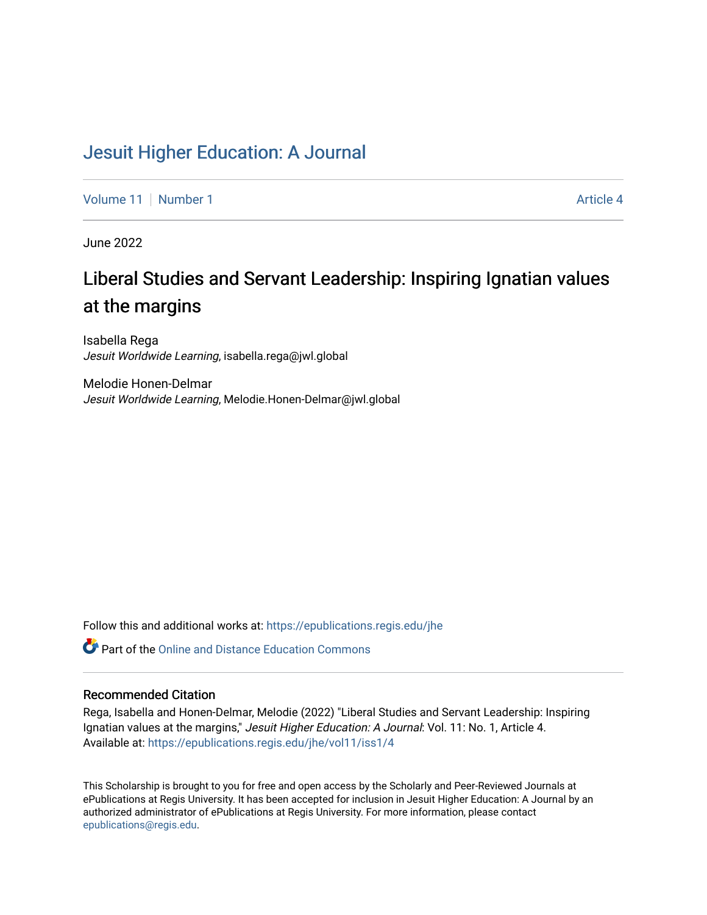# [Jesuit Higher Education: A Journal](https://epublications.regis.edu/jhe)

[Volume 11](https://epublications.regis.edu/jhe/vol11) | [Number 1](https://epublications.regis.edu/jhe/vol11/iss1) Article 4

June 2022

# Liberal Studies and Servant Leadership: Inspiring Ignatian values at the margins

Isabella Rega Jesuit Worldwide Learning, isabella.rega@jwl.global

Melodie Honen-Delmar Jesuit Worldwide Learning, Melodie.Honen-Delmar@jwl.global

Follow this and additional works at: [https://epublications.regis.edu/jhe](https://epublications.regis.edu/jhe?utm_source=epublications.regis.edu%2Fjhe%2Fvol11%2Fiss1%2F4&utm_medium=PDF&utm_campaign=PDFCoverPages) 

Part of the [Online and Distance Education Commons](https://network.bepress.com/hgg/discipline/1296?utm_source=epublications.regis.edu%2Fjhe%2Fvol11%2Fiss1%2F4&utm_medium=PDF&utm_campaign=PDFCoverPages)

## Recommended Citation

Rega, Isabella and Honen-Delmar, Melodie (2022) "Liberal Studies and Servant Leadership: Inspiring Ignatian values at the margins," Jesuit Higher Education: A Journal: Vol. 11: No. 1, Article 4. Available at: [https://epublications.regis.edu/jhe/vol11/iss1/4](https://epublications.regis.edu/jhe/vol11/iss1/4?utm_source=epublications.regis.edu%2Fjhe%2Fvol11%2Fiss1%2F4&utm_medium=PDF&utm_campaign=PDFCoverPages)

This Scholarship is brought to you for free and open access by the Scholarly and Peer-Reviewed Journals at ePublications at Regis University. It has been accepted for inclusion in Jesuit Higher Education: A Journal by an authorized administrator of ePublications at Regis University. For more information, please contact [epublications@regis.edu.](mailto:epublications@regis.edu)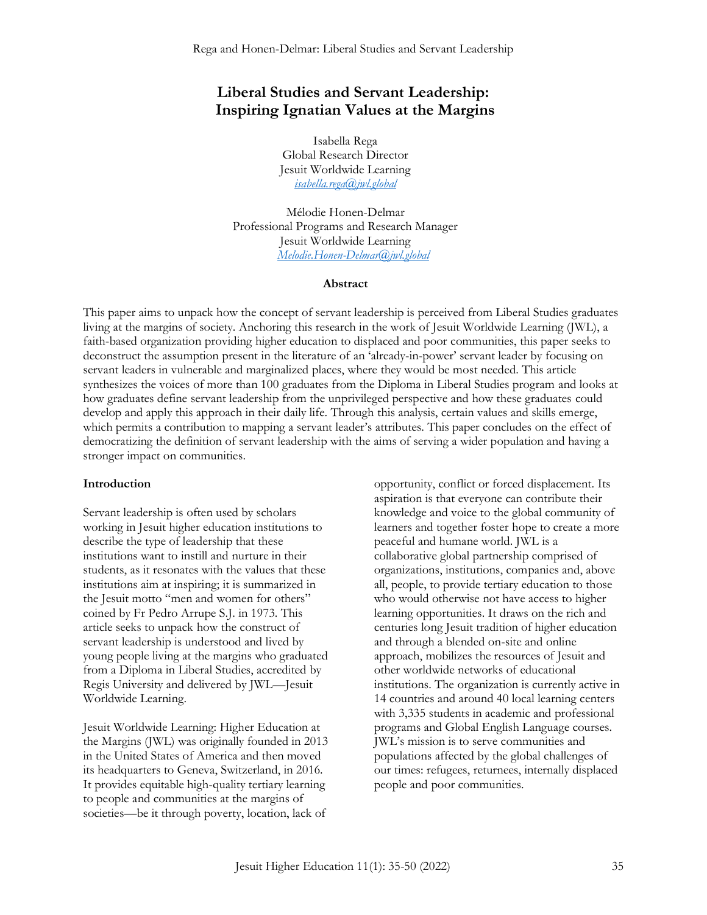# **Liberal Studies and Servant Leadership: Inspiring Ignatian Values at the Margins**

Isabella Rega Global Research Director Jesuit Worldwide Learning *[isabella.rega@jwl.global](mailto:isabella.rega@jwl.global)*

Mélodie Honen-Delmar Professional Programs and Research Manager Jesuit Worldwide Learning *[Melodie.Honen-Delmar@jwl.global](mailto:Melodie.Honen-Delmar@jwl.global)*

#### **Abstract**

This paper aims to unpack how the concept of servant leadership is perceived from Liberal Studies graduates living at the margins of society. Anchoring this research in the work of Jesuit Worldwide Learning (JWL), a faith-based organization providing higher education to displaced and poor communities, this paper seeks to deconstruct the assumption present in the literature of an 'already-in-power' servant leader by focusing on servant leaders in vulnerable and marginalized places, where they would be most needed. This article synthesizes the voices of more than 100 graduates from the Diploma in Liberal Studies program and looks at how graduates define servant leadership from the unprivileged perspective and how these graduates could develop and apply this approach in their daily life. Through this analysis, certain values and skills emerge, which permits a contribution to mapping a servant leader's attributes. This paper concludes on the effect of democratizing the definition of servant leadership with the aims of serving a wider population and having a stronger impact on communities.

#### **Introduction**

Servant leadership is often used by scholars working in Jesuit higher education institutions to describe the type of leadership that these institutions want to instill and nurture in their students, as it resonates with the values that these institutions aim at inspiring; it is summarized in the Jesuit motto "men and women for others" coined by Fr Pedro Arrupe S.J. in 1973. This article seeks to unpack how the construct of servant leadership is understood and lived by young people living at the margins who graduated from a Diploma in Liberal Studies, accredited by Regis University and delivered by JWL—Jesuit Worldwide Learning.

Jesuit Worldwide Learning: Higher Education at the Margins (JWL) was originally founded in 2013 in the United States of America and then moved its headquarters to Geneva, Switzerland, in 2016. It provides equitable high-quality tertiary learning to people and communities at the margins of societies—be it through poverty, location, lack of

opportunity, conflict or forced displacement. Its aspiration is that everyone can contribute their knowledge and voice to the global community of learners and together foster hope to create a more peaceful and humane world. JWL is a collaborative global partnership comprised of organizations, institutions, companies and, above all, people, to provide tertiary education to those who would otherwise not have access to higher learning opportunities. It draws on the rich and centuries long Jesuit tradition of higher education and through a blended on-site and online approach, mobilizes the resources of Jesuit and other worldwide networks of educational institutions. The organization is currently active in 14 countries and around 40 local learning centers with 3,335 students in academic and professional programs and Global English Language courses. JWL's mission is to serve communities and populations affected by the global challenges of our times: refugees, returnees, internally displaced people and poor communities.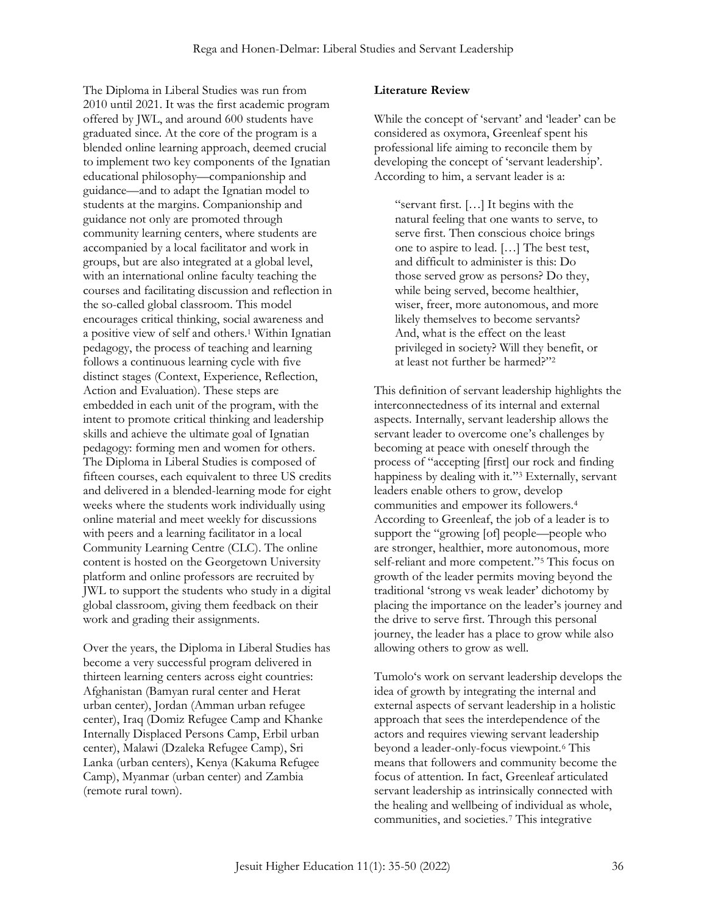The Diploma in Liberal Studies was run from 2010 until 2021. It was the first academic program offered by JWL, and around 600 students have graduated since. At the core of the program is a blended online learning approach, deemed crucial to implement two key components of the Ignatian educational philosophy—companionship and guidance—and to adapt the Ignatian model to students at the margins. Companionship and guidance not only are promoted through community learning centers, where students are accompanied by a local facilitator and work in groups, but are also integrated at a global level, with an international online faculty teaching the courses and facilitating discussion and reflection in the so-called global classroom. This model encourages critical thinking, social awareness and a positive view of self and others. <sup>1</sup> Within Ignatian pedagogy, the process of teaching and learning follows a continuous learning cycle with five distinct stages (Context, Experience, Reflection, Action and Evaluation). These steps are embedded in each unit of the program, with the intent to promote critical thinking and leadership skills and achieve the ultimate goal of Ignatian pedagogy: forming men and women for others. The Diploma in Liberal Studies is composed of fifteen courses, each equivalent to three US credits and delivered in a blended-learning mode for eight weeks where the students work individually using online material and meet weekly for discussions with peers and a learning facilitator in a local Community Learning Centre (CLC). The online content is hosted on the Georgetown University platform and online professors are recruited by JWL to support the students who study in a digital global classroom, giving them feedback on their work and grading their assignments.

Over the years, the Diploma in Liberal Studies has become a very successful program delivered in thirteen learning centers across eight countries: Afghanistan (Bamyan rural center and Herat urban center), Jordan (Amman urban refugee center), Iraq (Domiz Refugee Camp and Khanke Internally Displaced Persons Camp, Erbil urban center), Malawi (Dzaleka Refugee Camp), Sri Lanka (urban centers), Kenya (Kakuma Refugee Camp), Myanmar (urban center) and Zambia (remote rural town).

#### **Literature Review**

While the concept of 'servant' and 'leader' can be considered as oxymora, Greenleaf spent his professional life aiming to reconcile them by developing the concept of 'servant leadership'. According to him, a servant leader is a:

"servant first. […] It begins with the natural feeling that one wants to serve, to serve first. Then conscious choice brings one to aspire to lead. […] The best test, and difficult to administer is this: Do those served grow as persons? Do they, while being served, become healthier, wiser, freer, more autonomous, and more likely themselves to become servants? And, what is the effect on the least privileged in society? Will they benefit, or at least not further be harmed?" 2

This definition of servant leadership highlights the interconnectedness of its internal and external aspects. Internally, servant leadership allows the servant leader to overcome one's challenges by becoming at peace with oneself through the process of "accepting [first] our rock and finding happiness by dealing with it." <sup>3</sup> Externally, servant leaders enable others to grow, develop communities and empower its followers.<sup>4</sup> According to Greenleaf, the job of a leader is to support the "growing [of] people—people who are stronger, healthier, more autonomous, more self-reliant and more competent." <sup>5</sup> This focus on growth of the leader permits moving beyond the traditional 'strong vs weak leader' dichotomy by placing the importance on the leader's journey and the drive to serve first. Through this personal journey, the leader has a place to grow while also allowing others to grow as well.

Tumolo's work on servant leadership develops the idea of growth by integrating the internal and external aspects of servant leadership in a holistic approach that sees the interdependence of the actors and requires viewing servant leadership beyond a leader-only-focus viewpoint.<sup>6</sup> This means that followers and community become the focus of attention. In fact, Greenleaf articulated servant leadership as intrinsically connected with the healing and wellbeing of individual as whole, communities, and societies.<sup>7</sup> This integrative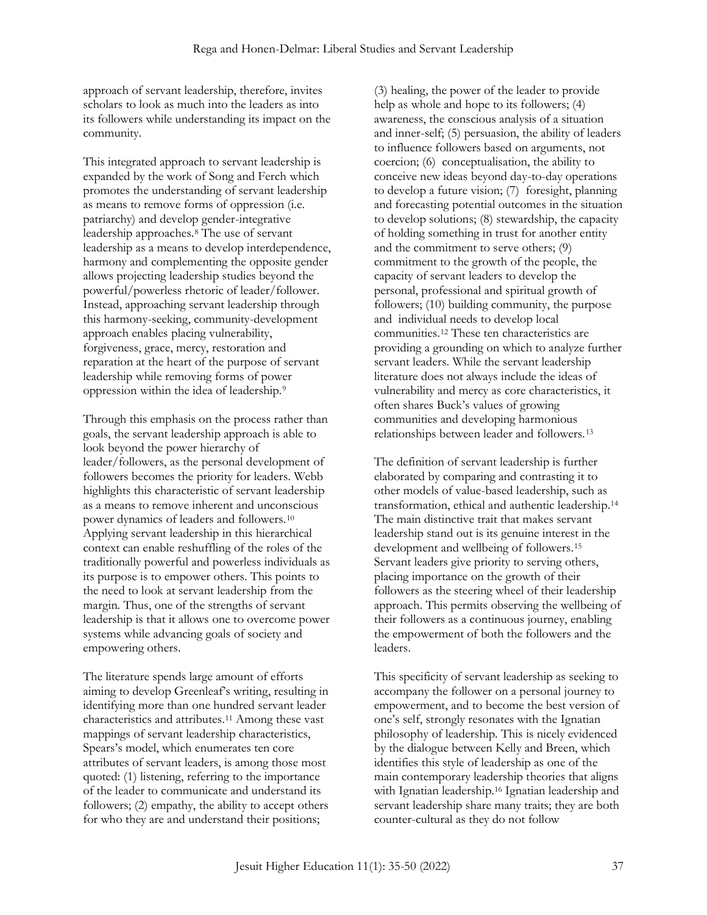approach of servant leadership, therefore, invites scholars to look as much into the leaders as into its followers while understanding its impact on the community.

This integrated approach to servant leadership is expanded by the work of Song and Ferch which promotes the understanding of servant leadership as means to remove forms of oppression (i.e. patriarchy) and develop gender-integrative leadership approaches.<sup>8</sup> The use of servant leadership as a means to develop interdependence, harmony and complementing the opposite gender allows projecting leadership studies beyond the powerful/powerless rhetoric of leader/follower. Instead, approaching servant leadership through this harmony-seeking, community-development approach enables placing vulnerability, forgiveness, grace, mercy, restoration and reparation at the heart of the purpose of servant leadership while removing forms of power oppression within the idea of leadership.<sup>9</sup>

Through this emphasis on the process rather than goals, the servant leadership approach is able to look beyond the power hierarchy of leader/followers, as the personal development of followers becomes the priority for leaders. Webb highlights this characteristic of servant leadership as a means to remove inherent and unconscious power dynamics of leaders and followers.<sup>10</sup> Applying servant leadership in this hierarchical context can enable reshuffling of the roles of the traditionally powerful and powerless individuals as its purpose is to empower others. This points to the need to look at servant leadership from the margin. Thus, one of the strengths of servant leadership is that it allows one to overcome power systems while advancing goals of society and empowering others.

The literature spends large amount of efforts aiming to develop Greenleaf's writing, resulting in identifying more than one hundred servant leader characteristics and attributes.<sup>11</sup> Among these vast mappings of servant leadership characteristics, Spears's model, which enumerates ten core attributes of servant leaders, is among those most quoted: (1) listening, referring to the importance of the leader to communicate and understand its followers; (2) empathy, the ability to accept others for who they are and understand their positions;

(3) healing, the power of the leader to provide help as whole and hope to its followers; (4) awareness, the conscious analysis of a situation and inner-self; (5) persuasion, the ability of leaders to influence followers based on arguments, not coercion; (6) conceptualisation, the ability to conceive new ideas beyond day-to-day operations to develop a future vision; (7) foresight, planning and forecasting potential outcomes in the situation to develop solutions; (8) stewardship, the capacity of holding something in trust for another entity and the commitment to serve others; (9) commitment to the growth of the people, the capacity of servant leaders to develop the personal, professional and spiritual growth of followers; (10) building community, the purpose and individual needs to develop local communities.<sup>12</sup> These ten characteristics are providing a grounding on which to analyze further servant leaders. While the servant leadership literature does not always include the ideas of vulnerability and mercy as core characteristics, it often shares Buck's values of growing communities and developing harmonious relationships between leader and followers.<sup>13</sup>

The definition of servant leadership is further elaborated by comparing and contrasting it to other models of value-based leadership, such as transformation, ethical and authentic leadership.<sup>14</sup> The main distinctive trait that makes servant leadership stand out is its genuine interest in the development and wellbeing of followers.<sup>15</sup> Servant leaders give priority to serving others, placing importance on the growth of their followers as the steering wheel of their leadership approach. This permits observing the wellbeing of their followers as a continuous journey, enabling the empowerment of both the followers and the leaders.

This specificity of servant leadership as seeking to accompany the follower on a personal journey to empowerment, and to become the best version of one's self, strongly resonates with the Ignatian philosophy of leadership. This is nicely evidenced by the dialogue between Kelly and Breen, which identifies this style of leadership as one of the main contemporary leadership theories that aligns with Ignatian leadership.<sup>16</sup> Ignatian leadership and servant leadership share many traits; they are both counter-cultural as they do not follow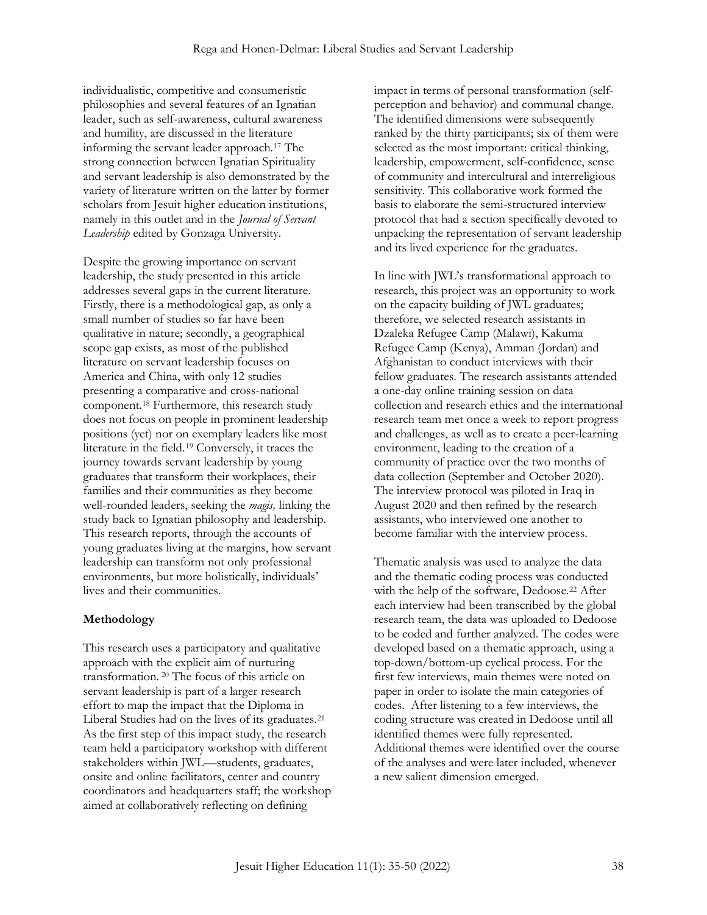individualistic, competitive and consumeristic philosophies and several features of an Ignatian leader, such as self-awareness, cultural awareness and humility, are discussed in the literature informing the servant leader approach.<sup>17</sup> The strong connection between Ignatian Spirituality and servant leadership is also demonstrated by the variety of literature written on the latter by former scholars from Jesuit higher education institutions, namely in this outlet and in the *Journal of Servant Leadership* edited by Gonzaga University.

Despite the growing importance on servant leadership, the study presented in this article addresses several gaps in the current literature. Firstly, there is a methodological gap, as only a small number of studies so far have been qualitative in nature; secondly, a geographical scope gap exists, as most of the published literature on servant leadership focuses on America and China, with only 12 studies presenting a comparative and cross-national component.<sup>18</sup> Furthermore, this research study does not focus on people in prominent leadership positions (yet) nor on exemplary leaders like most literature in the field.<sup>19</sup> Conversely, it traces the journey towards servant leadership by young graduates that transform their workplaces, their families and their communities as they become well-rounded leaders, seeking the *magis,* linking the study back to Ignatian philosophy and leadership. This research reports, through the accounts of young graduates living at the margins, how servant leadership can transform not only professional environments, but more holistically, individuals' lives and their communities.

# **Methodology**

This research uses a participatory and qualitative approach with the explicit aim of nurturing transformation. <sup>20</sup> The focus of this article on servant leadership is part of a larger research effort to map the impact that the Diploma in Liberal Studies had on the lives of its graduates.<sup>21</sup> As the first step of this impact study, the research team held a participatory workshop with different stakeholders within JWL—students, graduates, onsite and online facilitators, center and country coordinators and headquarters staff; the workshop aimed at collaboratively reflecting on defining

impact in terms of personal transformation (selfperception and behavior) and communal change. The identified dimensions were subsequently ranked by the thirty participants; six of them were selected as the most important: critical thinking, leadership, empowerment, self-confidence, sense of community and intercultural and interreligious sensitivity. This collaborative work formed the basis to elaborate the semi-structured interview protocol that had a section specifically devoted to unpacking the representation of servant leadership and its lived experience for the graduates.

In line with JWL's transformational approach to research, this project was an opportunity to work on the capacity building of JWL graduates; therefore, we selected research assistants in Dzaleka Refugee Camp (Malawi), Kakuma Refugee Camp (Kenya), Amman (Jordan) and Afghanistan to conduct interviews with their fellow graduates. The research assistants attended a one-day online training session on data collection and research ethics and the international research team met once a week to report progress and challenges, as well as to create a peer-learning environment, leading to the creation of a community of practice over the two months of data collection (September and October 2020). The interview protocol was piloted in Iraq in August 2020 and then refined by the research assistants, who interviewed one another to become familiar with the interview process.

Thematic analysis was used to analyze the data and the thematic coding process was conducted with the help of the software, Dedoose.<sup>22</sup> After each interview had been transcribed by the global research team, the data was uploaded to Dedoose to be coded and further analyzed. The codes were developed based on a thematic approach, using a top-down/bottom-up cyclical process. For the first few interviews, main themes were noted on paper in order to isolate the main categories of codes. After listening to a few interviews, the coding structure was created in Dedoose until all identified themes were fully represented. Additional themes were identified over the course of the analyses and were later included, whenever a new salient dimension emerged.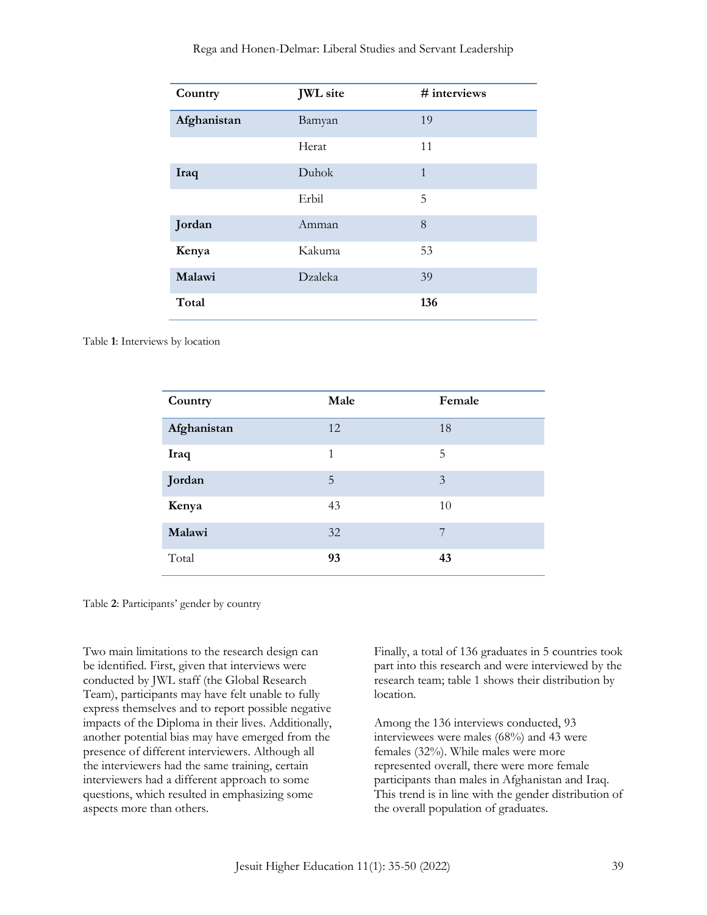| Country     | <b>JWL</b> site | # interviews |
|-------------|-----------------|--------------|
| Afghanistan | Bamyan          | 19           |
|             | Herat           | 11           |
| Iraq        | Duhok           | $\mathbf{1}$ |
|             | Erbil           | 5            |
| Jordan      | Amman           | 8            |
| Kenya       | Kakuma          | 53           |
| Malawi      | Dzaleka         | 39           |
| Total       |                 | 136          |

Rega and Honen-Delmar: Liberal Studies and Servant Leadership

Table **1**: Interviews by location

| Country     | Male | Female |
|-------------|------|--------|
| Afghanistan | 12   | 18     |
| Iraq        | 1    | 5      |
| Jordan      | 5    | 3      |
| Kenya       | 43   | 10     |
| Malawi      | 32   | 7      |
| Total       | 93   | 43     |

Table **2**: Participants' gender by country

Two main limitations to the research design can be identified. First, given that interviews were conducted by JWL staff (the Global Research Team), participants may have felt unable to fully express themselves and to report possible negative impacts of the Diploma in their lives. Additionally, another potential bias may have emerged from the presence of different interviewers. Although all the interviewers had the same training, certain interviewers had a different approach to some questions, which resulted in emphasizing some aspects more than others.

Finally, a total of 136 graduates in 5 countries took part into this research and were interviewed by the research team; table 1 shows their distribution by location.

Among the 136 interviews conducted, 93 interviewees were males (68%) and 43 were females (32%). While males were more represented overall, there were more female participants than males in Afghanistan and Iraq. This trend is in line with the gender distribution of the overall population of graduates.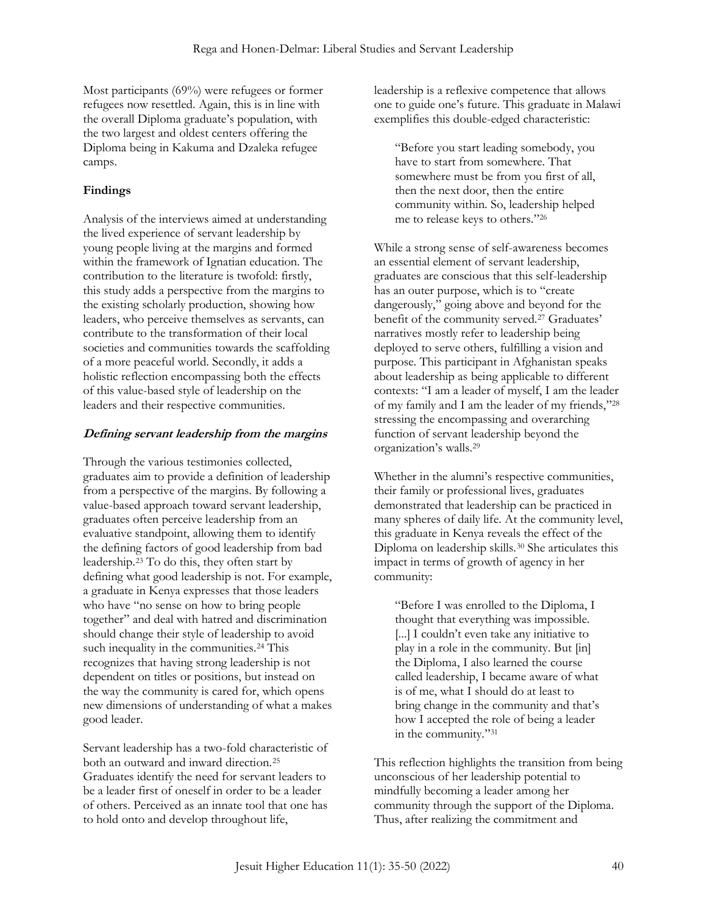Most participants (69%) were refugees or former refugees now resettled. Again, this is in line with the overall Diploma graduate's population, with the two largest and oldest centers offering the Diploma being in Kakuma and Dzaleka refugee camps.

# **Findings**

Analysis of the interviews aimed at understanding the lived experience of servant leadership by young people living at the margins and formed within the framework of Ignatian education. The contribution to the literature is twofold: firstly, this study adds a perspective from the margins to the existing scholarly production, showing how leaders, who perceive themselves as servants, can contribute to the transformation of their local societies and communities towards the scaffolding of a more peaceful world. Secondly, it adds a holistic reflection encompassing both the effects of this value-based style of leadership on the leaders and their respective communities.

#### **Defining servant leadership from the margins**

Through the various testimonies collected, graduates aim to provide a definition of leadership from a perspective of the margins. By following a value-based approach toward servant leadership, graduates often perceive leadership from an evaluative standpoint, allowing them to identify the defining factors of good leadership from bad leadership.<sup>23</sup> To do this, they often start by defining what good leadership is not. For example, a graduate in Kenya expresses that those leaders who have "no sense on how to bring people together" and deal with hatred and discrimination should change their style of leadership to avoid such inequality in the communities.<sup>24</sup> This recognizes that having strong leadership is not dependent on titles or positions, but instead on the way the community is cared for, which opens new dimensions of understanding of what a makes good leader.

Servant leadership has a two-fold characteristic of both an outward and inward direction.<sup>25</sup> Graduates identify the need for servant leaders to be a leader first of oneself in order to be a leader of others. Perceived as an innate tool that one has to hold onto and develop throughout life,

leadership is a reflexive competence that allows one to guide one's future. This graduate in Malawi exemplifies this double-edged characteristic:

"Before you start leading somebody, you have to start from somewhere. That somewhere must be from you first of all, then the next door, then the entire community within. So, leadership helped me to release keys to others." 26

While a strong sense of self-awareness becomes an essential element of servant leadership, graduates are conscious that this self-leadership has an outer purpose, which is to "create dangerously," going above and beyond for the benefit of the community served.<sup>27</sup> Graduates' narratives mostly refer to leadership being deployed to serve others, fulfilling a vision and purpose. This participant in Afghanistan speaks about leadership as being applicable to different contexts: "I am a leader of myself, I am the leader of my family and I am the leader of my friends," 28 stressing the encompassing and overarching function of servant leadership beyond the organization's walls.<sup>29</sup>

Whether in the alumni's respective communities, their family or professional lives, graduates demonstrated that leadership can be practiced in many spheres of daily life. At the community level, this graduate in Kenya reveals the effect of the Diploma on leadership skills.<sup>30</sup> She articulates this impact in terms of growth of agency in her community:

"Before I was enrolled to the Diploma, I thought that everything was impossible. [...] I couldn't even take any initiative to play in a role in the community. But [in] the Diploma, I also learned the course called leadership, I became aware of what is of me, what I should do at least to bring change in the community and that's how I accepted the role of being a leader in the community." 31

This reflection highlights the transition from being unconscious of her leadership potential to mindfully becoming a leader among her community through the support of the Diploma. Thus, after realizing the commitment and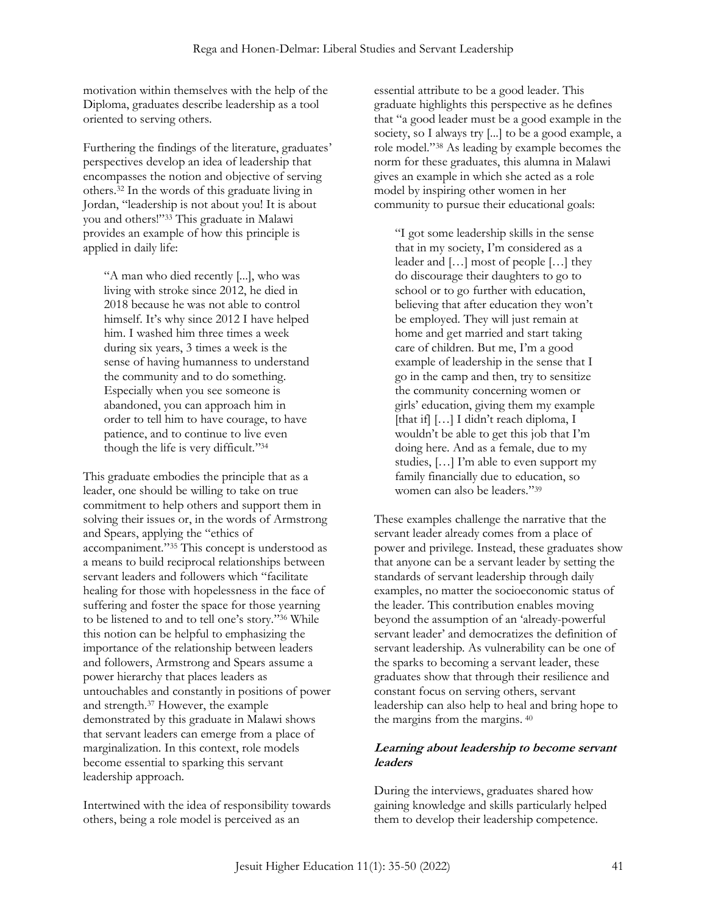motivation within themselves with the help of the Diploma, graduates describe leadership as a tool oriented to serving others.

Furthering the findings of the literature, graduates' perspectives develop an idea of leadership that encompasses the notion and objective of serving others.<sup>32</sup> In the words of this graduate living in Jordan, "leadership is not about you! It is about you and others!" <sup>33</sup> This graduate in Malawi provides an example of how this principle is applied in daily life:

"A man who died recently [...], who was living with stroke since 2012, he died in 2018 because he was not able to control himself. It's why since 2012 I have helped him. I washed him three times a week during six years, 3 times a week is the sense of having humanness to understand the community and to do something. Especially when you see someone is abandoned, you can approach him in order to tell him to have courage, to have patience, and to continue to live even though the life is very difficult." 34

This graduate embodies the principle that as a leader, one should be willing to take on true commitment to help others and support them in solving their issues or, in the words of Armstrong and Spears, applying the "ethics of accompaniment." <sup>35</sup> This concept is understood as a means to build reciprocal relationships between servant leaders and followers which "facilitate healing for those with hopelessness in the face of suffering and foster the space for those yearning to be listened to and to tell one's story." <sup>36</sup> While this notion can be helpful to emphasizing the importance of the relationship between leaders and followers, Armstrong and Spears assume a power hierarchy that places leaders as untouchables and constantly in positions of power and strength.<sup>37</sup> However, the example demonstrated by this graduate in Malawi shows that servant leaders can emerge from a place of marginalization. In this context, role models become essential to sparking this servant leadership approach.

Intertwined with the idea of responsibility towards others, being a role model is perceived as an

essential attribute to be a good leader. This graduate highlights this perspective as he defines that "a good leader must be a good example in the society, so I always try [...] to be a good example, a role model." <sup>38</sup> As leading by example becomes the norm for these graduates, this alumna in Malawi gives an example in which she acted as a role model by inspiring other women in her community to pursue their educational goals:

"I got some leadership skills in the sense that in my society, I'm considered as a leader and […] most of people […] they do discourage their daughters to go to school or to go further with education, believing that after education they won't be employed. They will just remain at home and get married and start taking care of children. But me, I'm a good example of leadership in the sense that I go in the camp and then, try to sensitize the community concerning women or girls' education, giving them my example [that if] [...] I didn't reach diploma, I wouldn't be able to get this job that I'm doing here. And as a female, due to my studies, […] I'm able to even support my family financially due to education, so women can also be leaders." 39

These examples challenge the narrative that the servant leader already comes from a place of power and privilege. Instead, these graduates show that anyone can be a servant leader by setting the standards of servant leadership through daily examples, no matter the socioeconomic status of the leader. This contribution enables moving beyond the assumption of an 'already-powerful servant leader' and democratizes the definition of servant leadership. As vulnerability can be one of the sparks to becoming a servant leader, these graduates show that through their resilience and constant focus on serving others, servant leadership can also help to heal and bring hope to the margins from the margins. <sup>40</sup>

#### **Learning about leadership to become servant leaders**

During the interviews, graduates shared how gaining knowledge and skills particularly helped them to develop their leadership competence.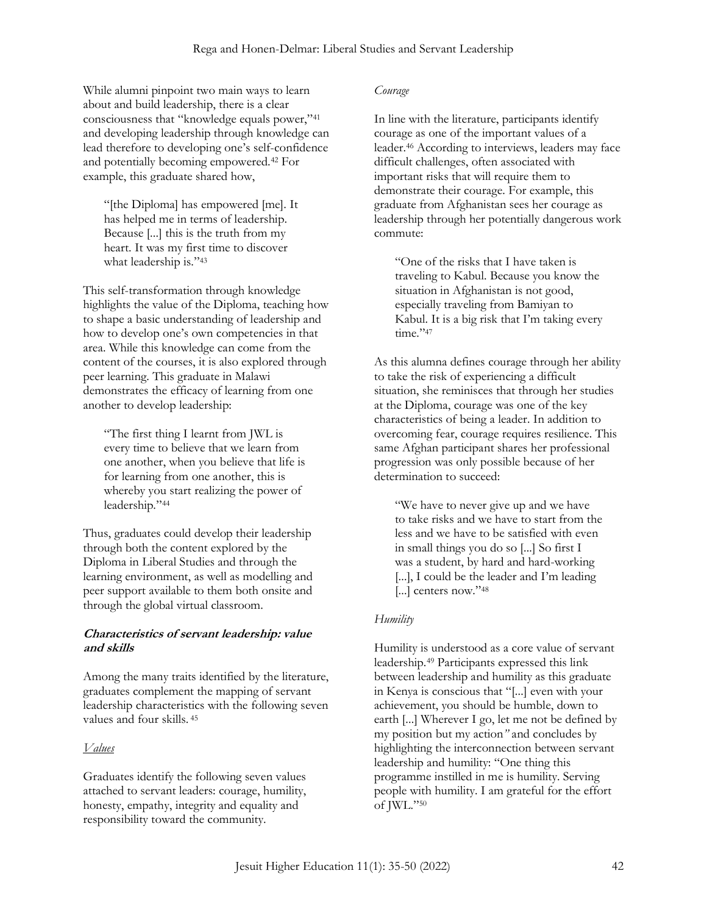While alumni pinpoint two main ways to learn about and build leadership, there is a clear consciousness that "knowledge equals power," 41 and developing leadership through knowledge can lead therefore to developing one's self-confidence and potentially becoming empowered.<sup>42</sup> For example, this graduate shared how,

"[the Diploma] has empowered [me]. It has helped me in terms of leadership. Because [...] this is the truth from my heart. It was my first time to discover what leadership is."43

This self-transformation through knowledge highlights the value of the Diploma, teaching how to shape a basic understanding of leadership and how to develop one's own competencies in that area. While this knowledge can come from the content of the courses, it is also explored through peer learning. This graduate in Malawi demonstrates the efficacy of learning from one another to develop leadership:

"The first thing I learnt from JWL is every time to believe that we learn from one another, when you believe that life is for learning from one another, this is whereby you start realizing the power of leadership." 44

Thus, graduates could develop their leadership through both the content explored by the Diploma in Liberal Studies and through the learning environment, as well as modelling and peer support available to them both onsite and through the global virtual classroom.

## **Characteristics of servant leadership: value and skills**

Among the many traits identified by the literature, graduates complement the mapping of servant leadership characteristics with the following seven values and four skills. <sup>45</sup>

# *Values*

Graduates identify the following seven values attached to servant leaders: courage, humility, honesty, empathy, integrity and equality and responsibility toward the community.

#### *Courage*

In line with the literature, participants identify courage as one of the important values of a leader.<sup>46</sup> According to interviews, leaders may face difficult challenges, often associated with important risks that will require them to demonstrate their courage. For example, this graduate from Afghanistan sees her courage as leadership through her potentially dangerous work commute:

"One of the risks that I have taken is traveling to Kabul. Because you know the situation in Afghanistan is not good, especially traveling from Bamiyan to Kabul. It is a big risk that I'm taking every time."<sup>47</sup>

As this alumna defines courage through her ability to take the risk of experiencing a difficult situation, she reminisces that through her studies at the Diploma, courage was one of the key characteristics of being a leader. In addition to overcoming fear, courage requires resilience. This same Afghan participant shares her professional progression was only possible because of her determination to succeed:

"We have to never give up and we have to take risks and we have to start from the less and we have to be satisfied with even in small things you do so [...] So first I was a student, by hard and hard-working [...], I could be the leader and I'm leading [...] centers now."48

# *Humility*

Humility is understood as a core value of servant leadership.<sup>49</sup> Participants expressed this link between leadership and humility as this graduate in Kenya is conscious that "[...] even with your achievement, you should be humble, down to earth [...] Wherever I go, let me not be defined by my position but my action*"* and concludes by highlighting the interconnection between servant leadership and humility: "One thing this programme instilled in me is humility. Serving people with humility. I am grateful for the effort of JWL." 50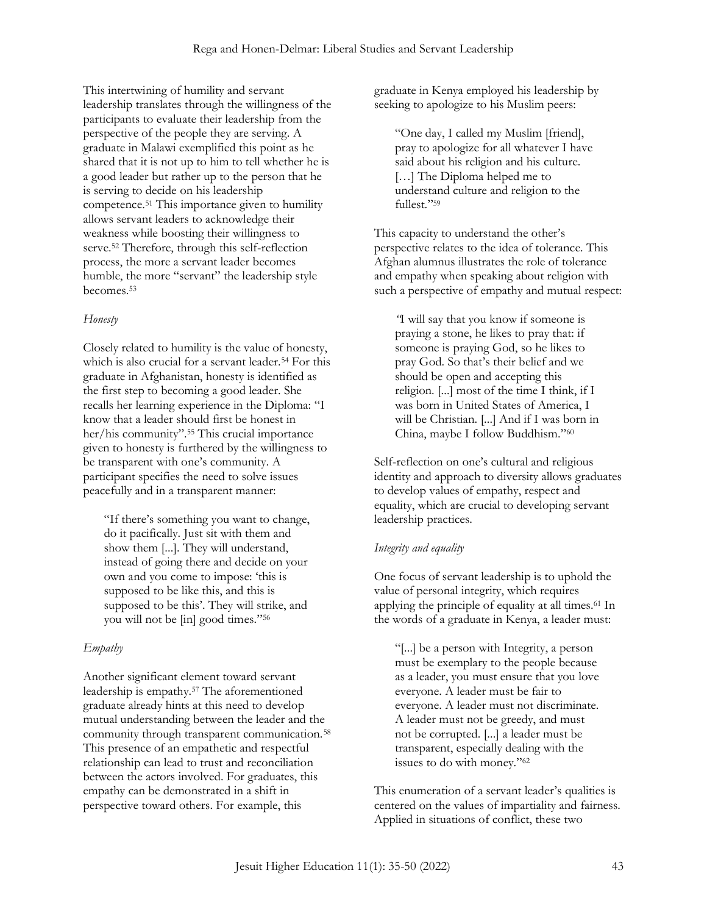This intertwining of humility and servant leadership translates through the willingness of the participants to evaluate their leadership from the perspective of the people they are serving. A graduate in Malawi exemplified this point as he shared that it is not up to him to tell whether he is a good leader but rather up to the person that he is serving to decide on his leadership competence.<sup>51</sup> This importance given to humility allows servant leaders to acknowledge their weakness while boosting their willingness to serve.<sup>52</sup> Therefore, through this self-reflection process, the more a servant leader becomes humble, the more "servant" the leadership style becomes.<sup>53</sup>

## *Honesty*

Closely related to humility is the value of honesty, which is also crucial for a servant leader.<sup>54</sup> For this graduate in Afghanistan, honesty is identified as the first step to becoming a good leader. She recalls her learning experience in the Diploma: "I know that a leader should first be honest in her/his community". <sup>55</sup> This crucial importance given to honesty is furthered by the willingness to be transparent with one's community. A participant specifies the need to solve issues peacefully and in a transparent manner:

"If there's something you want to change, do it pacifically. Just sit with them and show them [...]. They will understand, instead of going there and decide on your own and you come to impose: 'this is supposed to be like this, and this is supposed to be this'. They will strike, and you will not be [in] good times." 56

# *Empathy*

Another significant element toward servant leadership is empathy.<sup>57</sup> The aforementioned graduate already hints at this need to develop mutual understanding between the leader and the community through transparent communication.<sup>58</sup> This presence of an empathetic and respectful relationship can lead to trust and reconciliation between the actors involved. For graduates, this empathy can be demonstrated in a shift in perspective toward others. For example, this

graduate in Kenya employed his leadership by seeking to apologize to his Muslim peers:

"One day, I called my Muslim [friend], pray to apologize for all whatever I have said about his religion and his culture. [...] The Diploma helped me to understand culture and religion to the fullest." 59

This capacity to understand the other's perspective relates to the idea of tolerance. This Afghan alumnus illustrates the role of tolerance and empathy when speaking about religion with such a perspective of empathy and mutual respect:

*"*I will say that you know if someone is praying a stone, he likes to pray that: if someone is praying God, so he likes to pray God. So that's their belief and we should be open and accepting this religion. [...] most of the time I think, if I was born in United States of America, I will be Christian. [...] And if I was born in China, maybe I follow Buddhism." 60

Self-reflection on one's cultural and religious identity and approach to diversity allows graduates to develop values of empathy, respect and equality, which are crucial to developing servant leadership practices.

# *Integrity and equality*

One focus of servant leadership is to uphold the value of personal integrity, which requires applying the principle of equality at all times.<sup>61</sup> In the words of a graduate in Kenya, a leader must:

"[...] be a person with Integrity, a person must be exemplary to the people because as a leader, you must ensure that you love everyone. A leader must be fair to everyone. A leader must not discriminate. A leader must not be greedy, and must not be corrupted. [...] a leader must be transparent, especially dealing with the issues to do with money." 62

This enumeration of a servant leader's qualities is centered on the values of impartiality and fairness. Applied in situations of conflict, these two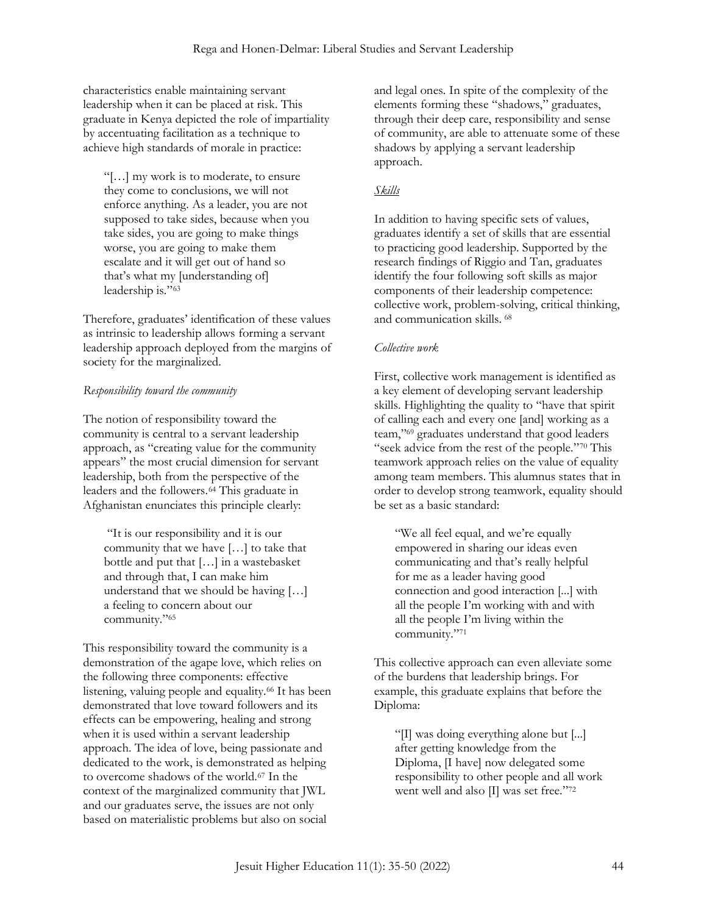characteristics enable maintaining servant leadership when it can be placed at risk. This graduate in Kenya depicted the role of impartiality by accentuating facilitation as a technique to achieve high standards of morale in practice:

"[…] my work is to moderate, to ensure they come to conclusions, we will not enforce anything. As a leader, you are not supposed to take sides, because when you take sides, you are going to make things worse, you are going to make them escalate and it will get out of hand so that's what my [understanding of] leadership is." 63

Therefore, graduates' identification of these values as intrinsic to leadership allows forming a servant leadership approach deployed from the margins of society for the marginalized.

# *Responsibility toward the community*

The notion of responsibility toward the community is central to a servant leadership approach, as "creating value for the community appears" the most crucial dimension for servant leadership, both from the perspective of the leaders and the followers.<sup>64</sup> This graduate in Afghanistan enunciates this principle clearly:

"It is our responsibility and it is our community that we have […] to take that bottle and put that […] in a wastebasket and through that, I can make him understand that we should be having […] a feeling to concern about our community." 65

This responsibility toward the community is a demonstration of the agape love, which relies on the following three components: effective listening, valuing people and equality.<sup>66</sup> It has been demonstrated that love toward followers and its effects can be empowering, healing and strong when it is used within a servant leadership approach. The idea of love, being passionate and dedicated to the work, is demonstrated as helping to overcome shadows of the world.<sup>67</sup> In the context of the marginalized community that JWL and our graduates serve, the issues are not only based on materialistic problems but also on social

and legal ones. In spite of the complexity of the elements forming these "shadows," graduates, through their deep care, responsibility and sense of community, are able to attenuate some of these shadows by applying a servant leadership approach.

# *Skills*

In addition to having specific sets of values, graduates identify a set of skills that are essential to practicing good leadership. Supported by the research findings of Riggio and Tan, graduates identify the four following soft skills as major components of their leadership competence: collective work, problem-solving, critical thinking, and communication skills. <sup>68</sup>

## *Collective work*

First, collective work management is identified as a key element of developing servant leadership skills. Highlighting the quality to "have that spirit of calling each and every one [and] working as a team," <sup>69</sup> graduates understand that good leaders "seek advice from the rest of the people." <sup>70</sup> This teamwork approach relies on the value of equality among team members. This alumnus states that in order to develop strong teamwork, equality should be set as a basic standard:

"We all feel equal, and we're equally empowered in sharing our ideas even communicating and that's really helpful for me as a leader having good connection and good interaction [...] with all the people I'm working with and with all the people I'm living within the community." 71

This collective approach can even alleviate some of the burdens that leadership brings. For example, this graduate explains that before the Diploma:

"[I] was doing everything alone but [...] after getting knowledge from the Diploma, [I have] now delegated some responsibility to other people and all work went well and also [I] was set free." 72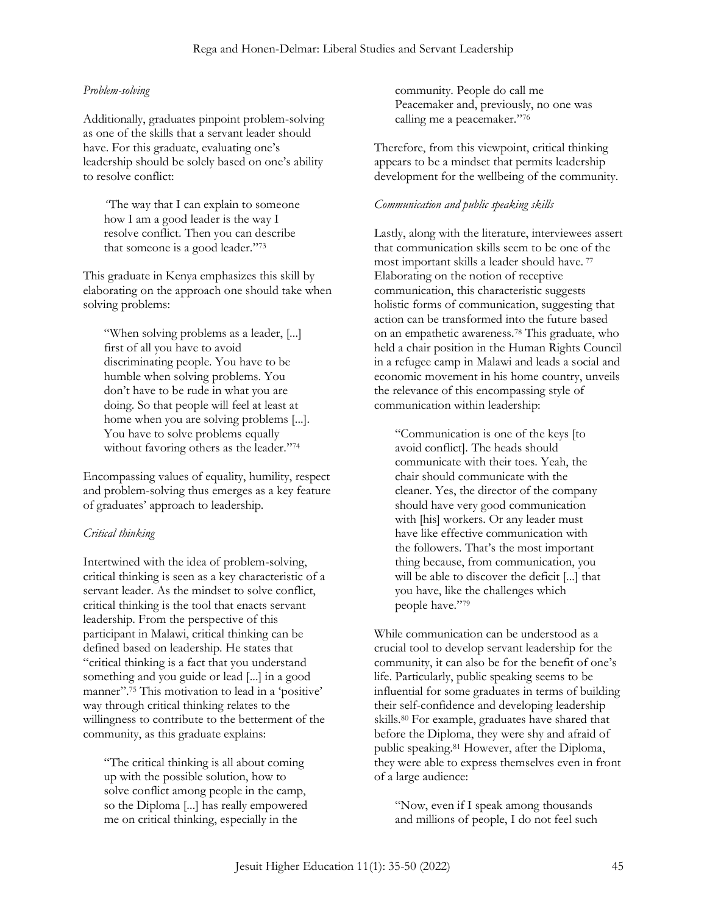#### *Problem-solving*

Additionally, graduates pinpoint problem-solving as one of the skills that a servant leader should have. For this graduate, evaluating one's leadership should be solely based on one's ability to resolve conflict:

*"*The way that I can explain to someone how I am a good leader is the way I resolve conflict. Then you can describe that someone is a good leader." 73

This graduate in Kenya emphasizes this skill by elaborating on the approach one should take when solving problems:

"When solving problems as a leader, [...] first of all you have to avoid discriminating people. You have to be humble when solving problems. You don't have to be rude in what you are doing. So that people will feel at least at home when you are solving problems [...]. You have to solve problems equally without favoring others as the leader." 74

Encompassing values of equality, humility, respect and problem-solving thus emerges as a key feature of graduates' approach to leadership.

#### *Critical thinking*

Intertwined with the idea of problem-solving, critical thinking is seen as a key characteristic of a servant leader. As the mindset to solve conflict, critical thinking is the tool that enacts servant leadership. From the perspective of this participant in Malawi, critical thinking can be defined based on leadership. He states that "critical thinking is a fact that you understand something and you guide or lead [...] in a good manner". <sup>75</sup> This motivation to lead in a 'positive' way through critical thinking relates to the willingness to contribute to the betterment of the community, as this graduate explains:

"The critical thinking is all about coming up with the possible solution, how to solve conflict among people in the camp, so the Diploma [...] has really empowered me on critical thinking, especially in the

community. People do call me Peacemaker and, previously, no one was calling me a peacemaker." 76

Therefore, from this viewpoint, critical thinking appears to be a mindset that permits leadership development for the wellbeing of the community.

#### *Communication and public speaking skills*

Lastly, along with the literature, interviewees assert that communication skills seem to be one of the most important skills a leader should have. <sup>77</sup> Elaborating on the notion of receptive communication, this characteristic suggests holistic forms of communication, suggesting that action can be transformed into the future based on an empathetic awareness.<sup>78</sup> This graduate, who held a chair position in the Human Rights Council in a refugee camp in Malawi and leads a social and economic movement in his home country, unveils the relevance of this encompassing style of communication within leadership:

"Communication is one of the keys [to avoid conflict]. The heads should communicate with their toes. Yeah, the chair should communicate with the cleaner. Yes, the director of the company should have very good communication with [his] workers. Or any leader must have like effective communication with the followers. That's the most important thing because, from communication, you will be able to discover the deficit [...] that you have, like the challenges which people have." 79

While communication can be understood as a crucial tool to develop servant leadership for the community, it can also be for the benefit of one's life. Particularly, public speaking seems to be influential for some graduates in terms of building their self-confidence and developing leadership skills.<sup>80</sup> For example, graduates have shared that before the Diploma, they were shy and afraid of public speaking.<sup>81</sup> However, after the Diploma, they were able to express themselves even in front of a large audience:

"Now, even if I speak among thousands and millions of people, I do not feel such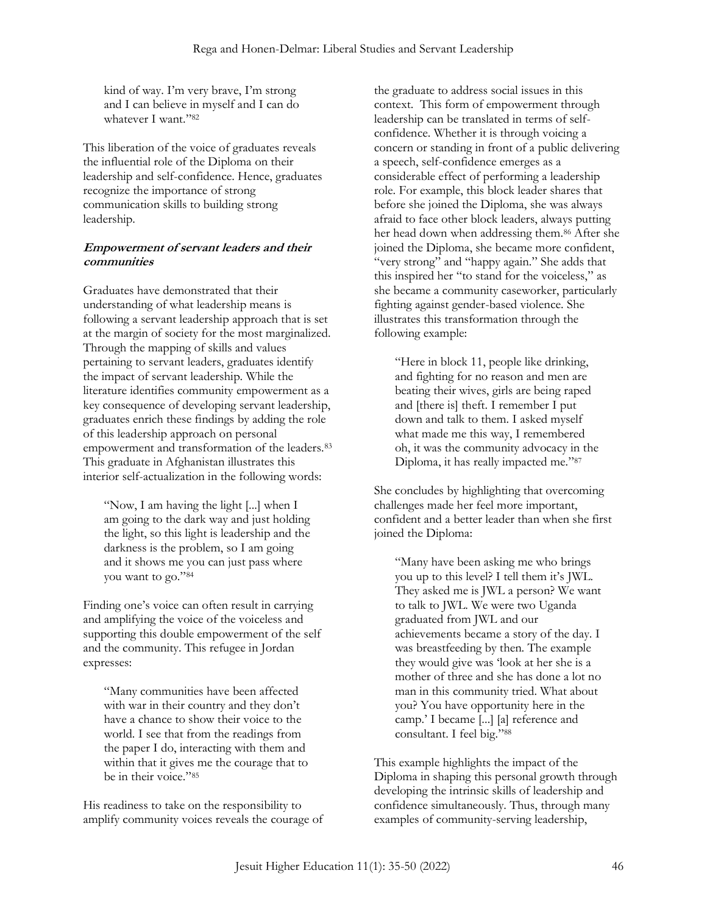kind of way. I'm very brave, I'm strong and I can believe in myself and I can do whatever I want." 82

This liberation of the voice of graduates reveals the influential role of the Diploma on their leadership and self-confidence. Hence, graduates recognize the importance of strong communication skills to building strong leadership.

# **Empowerment of servant leaders and their communities**

Graduates have demonstrated that their understanding of what leadership means is following a servant leadership approach that is set at the margin of society for the most marginalized. Through the mapping of skills and values pertaining to servant leaders, graduates identify the impact of servant leadership. While the literature identifies community empowerment as a key consequence of developing servant leadership, graduates enrich these findings by adding the role of this leadership approach on personal empowerment and transformation of the leaders.<sup>83</sup> This graduate in Afghanistan illustrates this interior self-actualization in the following words:

"Now, I am having the light [...] when I am going to the dark way and just holding the light, so this light is leadership and the darkness is the problem, so I am going and it shows me you can just pass where you want to go." 84

Finding one's voice can often result in carrying and amplifying the voice of the voiceless and supporting this double empowerment of the self and the community. This refugee in Jordan expresses:

"Many communities have been affected with war in their country and they don't have a chance to show their voice to the world. I see that from the readings from the paper I do, interacting with them and within that it gives me the courage that to be in their voice." 85

His readiness to take on the responsibility to amplify community voices reveals the courage of the graduate to address social issues in this context. This form of empowerment through leadership can be translated in terms of selfconfidence. Whether it is through voicing a concern or standing in front of a public delivering a speech, self-confidence emerges as a considerable effect of performing a leadership role. For example, this block leader shares that before she joined the Diploma, she was always afraid to face other block leaders, always putting her head down when addressing them.<sup>86</sup> After she joined the Diploma, she became more confident, "very strong" and "happy again." She adds that this inspired her "to stand for the voiceless," as she became a community caseworker, particularly fighting against gender-based violence. She illustrates this transformation through the following example:

"Here in block 11, people like drinking, and fighting for no reason and men are beating their wives, girls are being raped and [there is] theft. I remember I put down and talk to them. I asked myself what made me this way, I remembered oh, it was the community advocacy in the Diploma, it has really impacted me." 87

She concludes by highlighting that overcoming challenges made her feel more important, confident and a better leader than when she first joined the Diploma:

"Many have been asking me who brings you up to this level? I tell them it's JWL. They asked me is JWL a person? We want to talk to JWL. We were two Uganda graduated from JWL and our achievements became a story of the day. I was breastfeeding by then. The example they would give was 'look at her she is a mother of three and she has done a lot no man in this community tried. What about you? You have opportunity here in the camp.' I became [...] [a] reference and consultant. I feel big." 88

This example highlights the impact of the Diploma in shaping this personal growth through developing the intrinsic skills of leadership and confidence simultaneously. Thus, through many examples of community-serving leadership,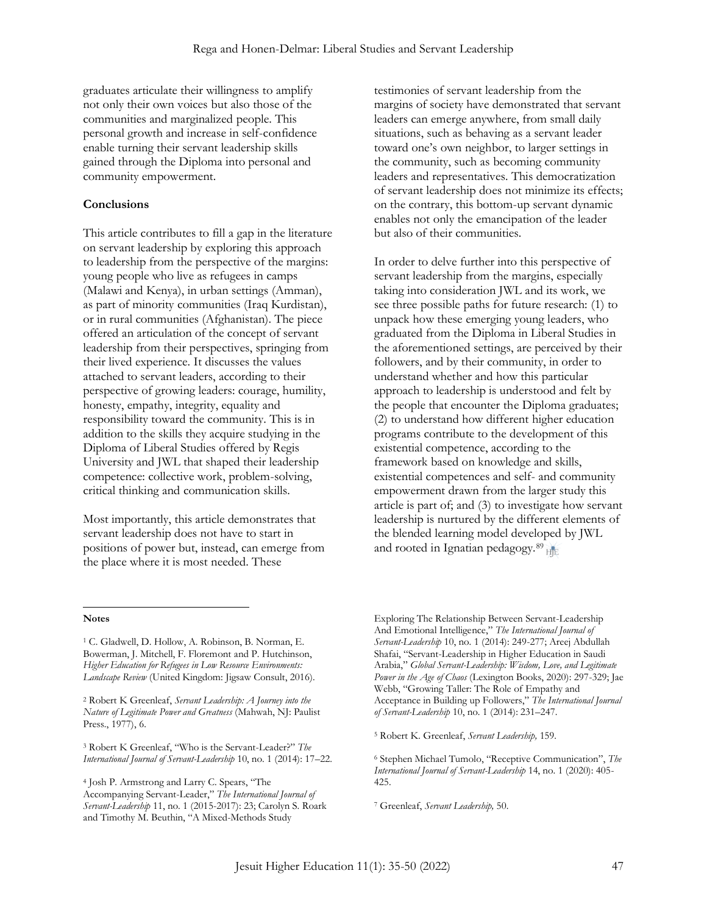graduates articulate their willingness to amplify not only their own voices but also those of the communities and marginalized people. This personal growth and increase in self-confidence enable turning their servant leadership skills gained through the Diploma into personal and community empowerment.

#### **Conclusions**

This article contributes to fill a gap in the literature on servant leadership by exploring this approach to leadership from the perspective of the margins: young people who live as refugees in camps (Malawi and Kenya), in urban settings (Amman), as part of minority communities (Iraq Kurdistan), or in rural communities (Afghanistan). The piece offered an articulation of the concept of servant leadership from their perspectives, springing from their lived experience. It discusses the values attached to servant leaders, according to their perspective of growing leaders: courage, humility, honesty, empathy, integrity, equality and responsibility toward the community. This is in addition to the skills they acquire studying in the Diploma of Liberal Studies offered by Regis University and JWL that shaped their leadership competence: collective work, problem-solving, critical thinking and communication skills.

Most importantly, this article demonstrates that servant leadership does not have to start in positions of power but, instead, can emerge from the place where it is most needed. These

testimonies of servant leadership from the margins of society have demonstrated that servant leaders can emerge anywhere, from small daily situations, such as behaving as a servant leader toward one's own neighbor, to larger settings in the community, such as becoming community leaders and representatives. This democratization of servant leadership does not minimize its effects; on the contrary, this bottom-up servant dynamic enables not only the emancipation of the leader but also of their communities.

In order to delve further into this perspective of servant leadership from the margins, especially taking into consideration JWL and its work, we see three possible paths for future research: (1) to unpack how these emerging young leaders, who graduated from the Diploma in Liberal Studies in the aforementioned settings, are perceived by their followers, and by their community, in order to understand whether and how this particular approach to leadership is understood and felt by the people that encounter the Diploma graduates; (2) to understand how different higher education programs contribute to the development of this existential competence, according to the framework based on knowledge and skills, existential competences and self- and community empowerment drawn from the larger study this article is part of; and (3) to investigate how servant leadership is nurtured by the different elements of the blended learning model developed by JWL and rooted in Ignatian pedagogy.<sup>89</sup>

#### **Notes**

<sup>2</sup> Robert K Greenleaf, *Servant Leadership: A Journey into the Nature of Legitimate Power and Greatness* (Mahwah, NJ: Paulist Press., 1977), 6.

<sup>3</sup> Robert K Greenleaf, "Who is the Servant-Leader?" *The International Journal of Servant-Leadership* 10, no. 1 (2014): 17–22.

<sup>4</sup> Josh P. Armstrong and Larry C. Spears, "The Accompanying Servant-Leader," *The International Journal of Servant-Leadership* 11, no. 1 (2015-2017): 23; Carolyn S. Roark and Timothy M. Beuthin, "A Mixed-Methods Study

Exploring The Relationship Between Servant-Leadership And Emotional Intelligence," *The International Journal of Servant-Leadership* 10, no. 1 (2014): 249-277; Areej Abdullah Shafai, "Servant-Leadership in Higher Education in Saudi Arabia," *Global Servant-Leadership: Wisdom, Love, and Legitimate Power in the Age of Chaos* (Lexington Books, 2020): 297-329; Jae Webb, "Growing Taller: The Role of Empathy and Acceptance in Building up Followers," *The International Journal of Servant-Leadership* 10, no. 1 (2014): 231–247.

<sup>5</sup> Robert K. Greenleaf, *Servant Leadership,* 159.

<sup>6</sup> Stephen Michael Tumolo, "Receptive Communication", *The International Journal of Servant-Leadership* 14, no. 1 (2020): 405- 425.

<sup>7</sup> Greenleaf, *Servant Leadership,* 50.

<sup>1</sup> C. Gladwell, D. Hollow, A. Robinson, B. Norman, E. Bowerman, J. Mitchell, F. Floremont and P. Hutchinson, *Higher Education for Refugees in Low Resource Environments: Landscape Review* (United Kingdom: Jigsaw Consult, 2016).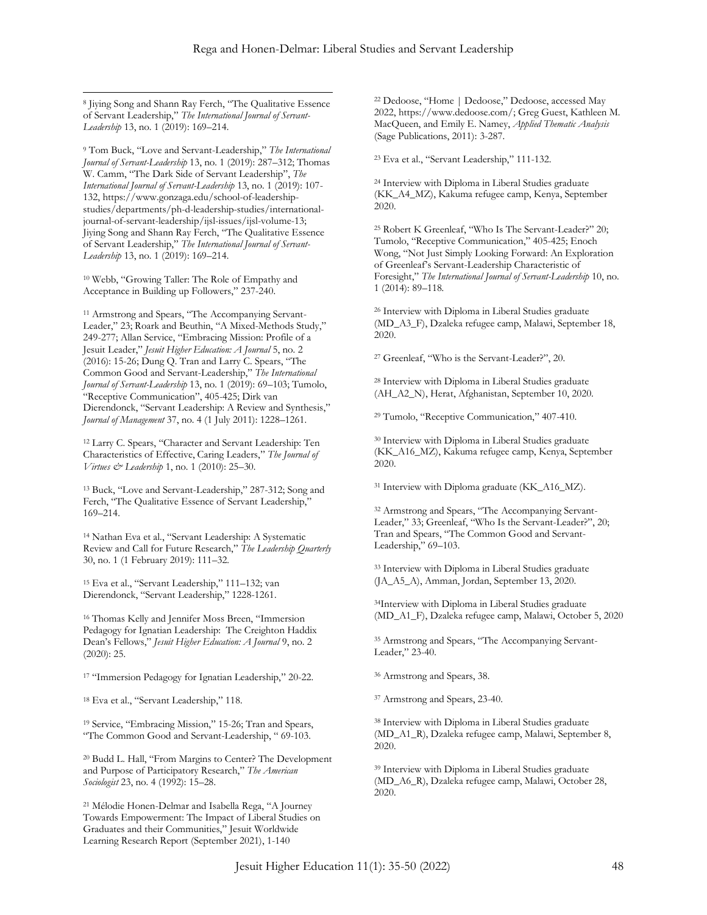<sup>8</sup> Jiying Song and Shann Ray Ferch, "The Qualitative Essence of Servant Leadership," *The International Journal of Servant-Leadership* 13, no. 1 (2019): 169–214.

<sup>9</sup> Tom Buck, "Love and Servant-Leadership," *The International Journal of Servant-Leadership* 13, no. 1 (2019): 287–312; Thomas W. Camm, "The Dark Side of Servant Leadership", *The International Journal of Servant-Leadership* 13, no. 1 (2019): 107- 132, https://www.gonzaga.edu/school-of-leadershipstudies/departments/ph-d-leadership-studies/internationaljournal-of-servant-leadership/ijsl-issues/ijsl-volume-13; Jiying Song and Shann Ray Ferch, "The Qualitative Essence of Servant Leadership," *The International Journal of Servant-Leadership* 13, no. 1 (2019): 169–214.

<sup>10</sup> Webb, "Growing Taller: The Role of Empathy and Acceptance in Building up Followers," 237-240.

<sup>11</sup> Armstrong and Spears, "The Accompanying Servant-Leader," 23; Roark and Beuthin, "A Mixed-Methods Study," 249-277; Allan Service, "Embracing Mission: Profile of a Jesuit Leader," *Jesuit Higher Education: A Journal* 5, no. 2 (2016): 15-26; Dung Q. Tran and Larry C. Spears, "The Common Good and Servant-Leadership," *The International Journal of Servant-Leadership* 13, no. 1 (2019): 69–103; Tumolo, "Receptive Communication", 405-425; Dirk van Dierendonck, "Servant Leadership: A Review and Synthesis," *Journal of Management* 37, no. 4 (1 July 2011): 1228–1261.

<sup>12</sup> Larry C. Spears, "Character and Servant Leadership: Ten Characteristics of Effective, Caring Leaders," *The Journal of Virtues & Leadership* 1, no. 1 (2010): 25–30.

<sup>13</sup> Buck, "Love and Servant-Leadership," 287-312; Song and Ferch, "The Qualitative Essence of Servant Leadership," 169–214.

<sup>14</sup> Nathan Eva et al., "Servant Leadership: A Systematic Review and Call for Future Research," *The Leadership Quarterly* 30, no. 1 (1 February 2019): 111–32.

<sup>15</sup> Eva et al., "Servant Leadership," 111–132; van Dierendonck, "Servant Leadership," 1228-1261.

<sup>16</sup> Thomas Kelly and Jennifer Moss Breen, "Immersion Pedagogy for Ignatian Leadership: The Creighton Haddix Dean's Fellows," *Jesuit Higher Education: A Journal* 9, no. 2 (2020): 25.

<sup>17</sup> "Immersion Pedagogy for Ignatian Leadership," 20-22.

<sup>18</sup> Eva et al., "Servant Leadership," 118.

<sup>19</sup> Service, "Embracing Mission," 15-26; Tran and Spears, "The Common Good and Servant-Leadership, " 69-103.

<sup>20</sup> Budd L. Hall, "From Margins to Center? The Development and Purpose of Participatory Research," *The American Sociologist* 23, no. 4 (1992): 15–28.

<sup>21</sup> Mélodie Honen-Delmar and Isabella Rega, "A Journey Towards Empowerment: The Impact of Liberal Studies on Graduates and their Communities," Jesuit Worldwide Learning Research Report (September 2021), 1-140

<sup>22</sup> Dedoose, "Home | Dedoose," Dedoose, accessed May 2022, https://www.dedoose.com/; Greg Guest, Kathleen M. MacQueen, and Emily E. Namey, *Applied Thematic Analysis* (Sage Publications, 2011): 3-287.

<sup>23</sup> Eva et al., "Servant Leadership," 111-132.

<sup>24</sup> Interview with Diploma in Liberal Studies graduate (KK\_A4\_MZ), Kakuma refugee camp, Kenya, September 2020.

<sup>25</sup> Robert K Greenleaf, "Who Is The Servant-Leader?" 20; Tumolo, "Receptive Communication," 405-425; Enoch Wong, "Not Just Simply Looking Forward: An Exploration of Greenleaf's Servant-Leadership Characteristic of Foresight," *The International Journal of Servant-Leadership* 10, no. 1 (2014): 89–118.

<sup>26</sup> Interview with Diploma in Liberal Studies graduate (MD\_A3\_F), Dzaleka refugee camp, Malawi, September 18, 2020.

<sup>27</sup> Greenleaf, "Who is the Servant-Leader?", 20.

<sup>28</sup> Interview with Diploma in Liberal Studies graduate (AH\_A2\_N), Herat, Afghanistan, September 10, 2020.

<sup>29</sup> Tumolo, "Receptive Communication," 407-410.

<sup>30</sup> Interview with Diploma in Liberal Studies graduate (KK\_A16\_MZ), Kakuma refugee camp, Kenya, September 2020.

<sup>31</sup> Interview with Diploma graduate (KK\_A16\_MZ).

<sup>32</sup> Armstrong and Spears, "The Accompanying Servant-Leader," 33; Greenleaf, "Who Is the Servant-Leader?", 20; Tran and Spears, "The Common Good and Servant-Leadership," 69–103.

<sup>33</sup> Interview with Diploma in Liberal Studies graduate (JA\_A5\_A), Amman, Jordan, September 13, 2020.

<sup>34</sup>Interview with Diploma in Liberal Studies graduate (MD\_A1\_F), Dzaleka refugee camp, Malawi, October 5, 2020

<sup>35</sup> Armstrong and Spears, "The Accompanying Servant-Leader," 23-40.

<sup>36</sup> Armstrong and Spears, 38.

<sup>37</sup> Armstrong and Spears, 23-40.

<sup>38</sup> Interview with Diploma in Liberal Studies graduate (MD\_A1\_R), Dzaleka refugee camp, Malawi, September 8, 2020.

<sup>39</sup> Interview with Diploma in Liberal Studies graduate (MD\_A6\_R), Dzaleka refugee camp, Malawi, October 28, 2020.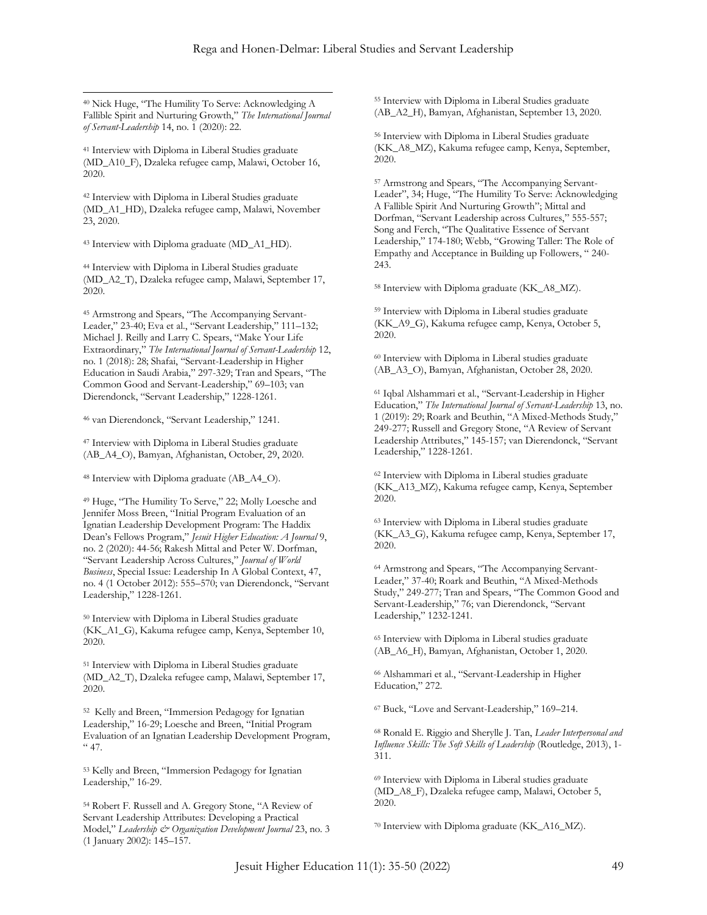<sup>40</sup> Nick Huge, "The Humility To Serve: Acknowledging A Fallible Spirit and Nurturing Growth," *The International Journal of Servant-Leadership* 14, no. 1 (2020): 22.

<sup>41</sup> Interview with Diploma in Liberal Studies graduate (MD\_A10\_F), Dzaleka refugee camp, Malawi, October 16, 2020.

<sup>42</sup> Interview with Diploma in Liberal Studies graduate (MD\_A1\_HD), Dzaleka refugee camp, Malawi, November 23, 2020.

<sup>43</sup> Interview with Diploma graduate (MD\_A1\_HD).

<sup>44</sup> Interview with Diploma in Liberal Studies graduate (MD\_A2\_T), Dzaleka refugee camp, Malawi, September 17, 2020.

<sup>45</sup> Armstrong and Spears, "The Accompanying Servant-Leader," 23-40; Eva et al., "Servant Leadership," 111–132; Michael J. Reilly and Larry C. Spears, "Make Your Life Extraordinary," *The International Journal of Servant-Leadership* 12, no. 1 (2018): 28; Shafai, "Servant-Leadership in Higher Education in Saudi Arabia," 297-329; Tran and Spears, "The Common Good and Servant-Leadership," 69–103; van Dierendonck, "Servant Leadership," 1228-1261.

<sup>46</sup> van Dierendonck, "Servant Leadership," 1241.

<sup>47</sup> Interview with Diploma in Liberal Studies graduate (AB\_A4\_O), Bamyan, Afghanistan, October, 29, 2020.

<sup>48</sup> Interview with Diploma graduate (AB\_A4\_O).

<sup>49</sup> Huge, "The Humility To Serve," 22; Molly Loesche and Jennifer Moss Breen, "Initial Program Evaluation of an Ignatian Leadership Development Program: The Haddix Dean's Fellows Program," *Jesuit Higher Education: A Journal* 9, no. 2 (2020): 44-56; Rakesh Mittal and Peter W. Dorfman, "Servant Leadership Across Cultures," *Journal of World Business*, Special Issue: Leadership In A Global Context, 47, no. 4 (1 October 2012): 555–570; van Dierendonck, "Servant Leadership," 1228-1261.

<sup>50</sup> Interview with Diploma in Liberal Studies graduate (KK\_A1\_G), Kakuma refugee camp, Kenya, September 10, 2020.

<sup>51</sup> Interview with Diploma in Liberal Studies graduate (MD\_A2\_T), Dzaleka refugee camp, Malawi, September 17, 2020.

<sup>52</sup> Kelly and Breen, "Immersion Pedagogy for Ignatian Leadership," 16-29; Loesche and Breen, "Initial Program Evaluation of an Ignatian Leadership Development Program,  $\cdot$  47.

<sup>53</sup> Kelly and Breen, "Immersion Pedagogy for Ignatian Leadership," 16-29.

<sup>54</sup> Robert F. Russell and A. Gregory Stone, "A Review of Servant Leadership Attributes: Developing a Practical Model," *Leadership & Organization Development Journal* 23, no. 3 (1 January 2002): 145–157.

<sup>55</sup> Interview with Diploma in Liberal Studies graduate (AB\_A2\_H), Bamyan, Afghanistan, September 13, 2020.

<sup>56</sup> Interview with Diploma in Liberal Studies graduate (KK\_A8\_MZ), Kakuma refugee camp, Kenya, September, 2020.

<sup>57</sup> Armstrong and Spears, "The Accompanying Servant-Leader", 34; Huge, "The Humility To Serve: Acknowledging A Fallible Spirit And Nurturing Growth"; Mittal and Dorfman, "Servant Leadership across Cultures," 555-557; Song and Ferch, "The Qualitative Essence of Servant Leadership," 174-180; Webb, "Growing Taller: The Role of Empathy and Acceptance in Building up Followers, " 240- 243.

<sup>58</sup> Interview with Diploma graduate (KK\_A8\_MZ).

<sup>59</sup> Interview with Diploma in Liberal studies graduate (KK\_A9\_G), Kakuma refugee camp, Kenya, October 5, 2020.

<sup>60</sup> Interview with Diploma in Liberal studies graduate (AB\_A3\_O), Bamyan, Afghanistan, October 28, 2020.

<sup>61</sup> Iqbal Alshammari et al., "Servant-Leadership in Higher Education," *The International Journal of Servant-Leadership* 13, no. 1 (2019): 29; Roark and Beuthin, "A Mixed-Methods Study," 249-277; Russell and Gregory Stone, "A Review of Servant Leadership Attributes," 145-157; van Dierendonck, "Servant Leadership," 1228-1261.

<sup>62</sup> Interview with Diploma in Liberal studies graduate (KK\_A13\_MZ), Kakuma refugee camp, Kenya, September 2020.

<sup>63</sup> Interview with Diploma in Liberal studies graduate (KK\_A3\_G), Kakuma refugee camp, Kenya, September 17, 2020.

<sup>64</sup> Armstrong and Spears, "The Accompanying Servant-Leader," 37-40; Roark and Beuthin, "A Mixed-Methods Study," 249-277; Tran and Spears, "The Common Good and Servant-Leadership," 76; van Dierendonck, "Servant Leadership," 1232-1241.

<sup>65</sup> Interview with Diploma in Liberal studies graduate (AB\_A6\_H), Bamyan, Afghanistan, October 1, 2020.

<sup>66</sup> Alshammari et al., "Servant-Leadership in Higher Education," 272.

<sup>67</sup> Buck, "Love and Servant-Leadership," 169–214.

<sup>68</sup> Ronald E. Riggio and Sherylle J. Tan, *Leader Interpersonal and Influence Skills: The Soft Skills of Leadership* (Routledge, 2013), 1- 311.

<sup>69</sup> Interview with Diploma in Liberal studies graduate (MD\_A8\_F), Dzaleka refugee camp, Malawi, October 5, 2020.

<sup>70</sup> Interview with Diploma graduate (KK\_A16\_MZ).